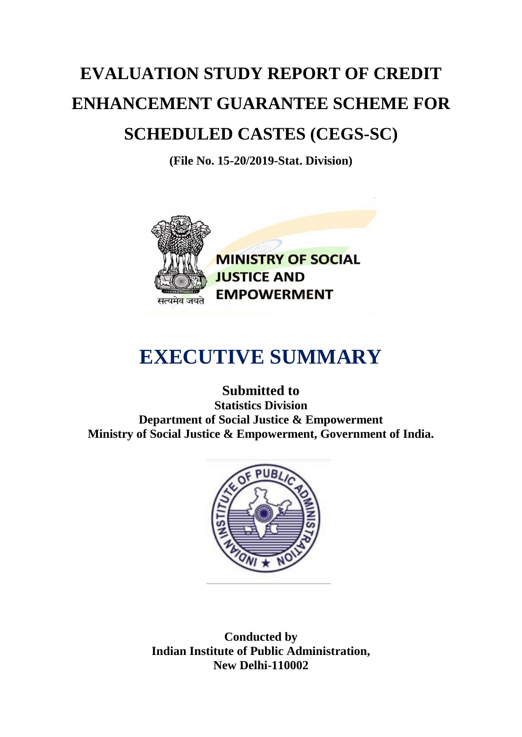## **EVALUATION STUDY REPORT OF CREDIT ENHANCEMENT GUARANTEE SCHEME FOR SCHEDULED CASTES (CEGS-SC)**

**(File No. 15-20/2019-Stat. Division)**



**MINISTRY OF SOCIAL JUSTICE AND EMPOWERMENT** 

## **EXECUTIVE SUMMARY**

**Submitted to Statistics Division Department of Social Justice & Empowerment Ministry of Social Justice & Empowerment, Government of India.**



**Conducted by Indian Institute of Public Administration, New Delhi-110002**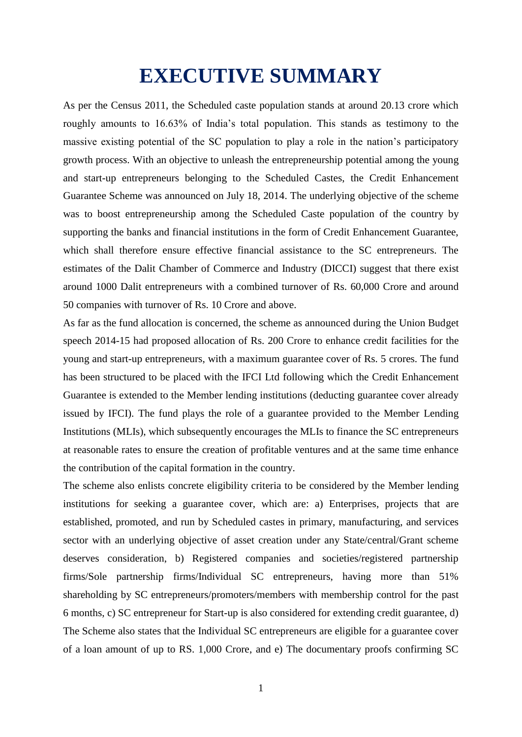## **EXECUTIVE SUMMARY**

As per the Census 2011, the Scheduled caste population stands at around 20.13 crore which roughly amounts to 16.63% of India's total population. This stands as testimony to the massive existing potential of the SC population to play a role in the nation's participatory growth process. With an objective to unleash the entrepreneurship potential among the young and start-up entrepreneurs belonging to the Scheduled Castes, the Credit Enhancement Guarantee Scheme was announced on July 18, 2014. The underlying objective of the scheme was to boost entrepreneurship among the Scheduled Caste population of the country by supporting the banks and financial institutions in the form of Credit Enhancement Guarantee, which shall therefore ensure effective financial assistance to the SC entrepreneurs. The estimates of the Dalit Chamber of Commerce and Industry (DICCI) suggest that there exist around 1000 Dalit entrepreneurs with a combined turnover of Rs. 60,000 Crore and around 50 companies with turnover of Rs. 10 Crore and above.

As far as the fund allocation is concerned, the scheme as announced during the Union Budget speech 2014-15 had proposed allocation of Rs. 200 Crore to enhance credit facilities for the young and start-up entrepreneurs, with a maximum guarantee cover of Rs. 5 crores. The fund has been structured to be placed with the IFCI Ltd following which the Credit Enhancement Guarantee is extended to the Member lending institutions (deducting guarantee cover already issued by IFCI). The fund plays the role of a guarantee provided to the Member Lending Institutions (MLIs), which subsequently encourages the MLIs to finance the SC entrepreneurs at reasonable rates to ensure the creation of profitable ventures and at the same time enhance the contribution of the capital formation in the country.

The scheme also enlists concrete eligibility criteria to be considered by the Member lending institutions for seeking a guarantee cover, which are: a) Enterprises, projects that are established, promoted, and run by Scheduled castes in primary, manufacturing, and services sector with an underlying objective of asset creation under any State/central/Grant scheme deserves consideration, b) Registered companies and societies/registered partnership firms/Sole partnership firms/Individual SC entrepreneurs, having more than 51% shareholding by SC entrepreneurs/promoters/members with membership control for the past 6 months, c) SC entrepreneur for Start-up is also considered for extending credit guarantee, d) The Scheme also states that the Individual SC entrepreneurs are eligible for a guarantee cover of a loan amount of up to RS. 1,000 Crore, and e) The documentary proofs confirming SC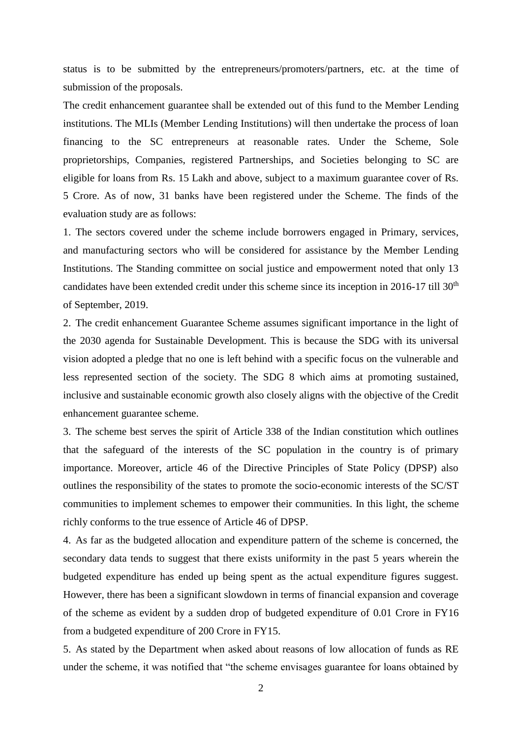status is to be submitted by the entrepreneurs/promoters/partners, etc. at the time of submission of the proposals.

The credit enhancement guarantee shall be extended out of this fund to the Member Lending institutions. The MLIs (Member Lending Institutions) will then undertake the process of loan financing to the SC entrepreneurs at reasonable rates. Under the Scheme, Sole proprietorships, Companies, registered Partnerships, and Societies belonging to SC are eligible for loans from Rs. 15 Lakh and above, subject to a maximum guarantee cover of Rs. 5 Crore. As of now, 31 banks have been registered under the Scheme. The finds of the evaluation study are as follows:

1. The sectors covered under the scheme include borrowers engaged in Primary, services, and manufacturing sectors who will be considered for assistance by the Member Lending Institutions. The Standing committee on social justice and empowerment noted that only 13 candidates have been extended credit under this scheme since its inception in 2016-17 till 30<sup>th</sup> of September, 2019.

2. The credit enhancement Guarantee Scheme assumes significant importance in the light of the 2030 agenda for Sustainable Development. This is because the SDG with its universal vision adopted a pledge that no one is left behind with a specific focus on the vulnerable and less represented section of the society. The SDG 8 which aims at promoting sustained, inclusive and sustainable economic growth also closely aligns with the objective of the Credit enhancement guarantee scheme.

3. The scheme best serves the spirit of Article 338 of the Indian constitution which outlines that the safeguard of the interests of the SC population in the country is of primary importance. Moreover, article 46 of the Directive Principles of State Policy (DPSP) also outlines the responsibility of the states to promote the socio-economic interests of the SC/ST communities to implement schemes to empower their communities. In this light, the scheme richly conforms to the true essence of Article 46 of DPSP.

4. As far as the budgeted allocation and expenditure pattern of the scheme is concerned, the secondary data tends to suggest that there exists uniformity in the past 5 years wherein the budgeted expenditure has ended up being spent as the actual expenditure figures suggest. However, there has been a significant slowdown in terms of financial expansion and coverage of the scheme as evident by a sudden drop of budgeted expenditure of 0.01 Crore in FY16 from a budgeted expenditure of 200 Crore in FY15.

5. As stated by the Department when asked about reasons of low allocation of funds as RE under the scheme, it was notified that "the scheme envisages guarantee for loans obtained by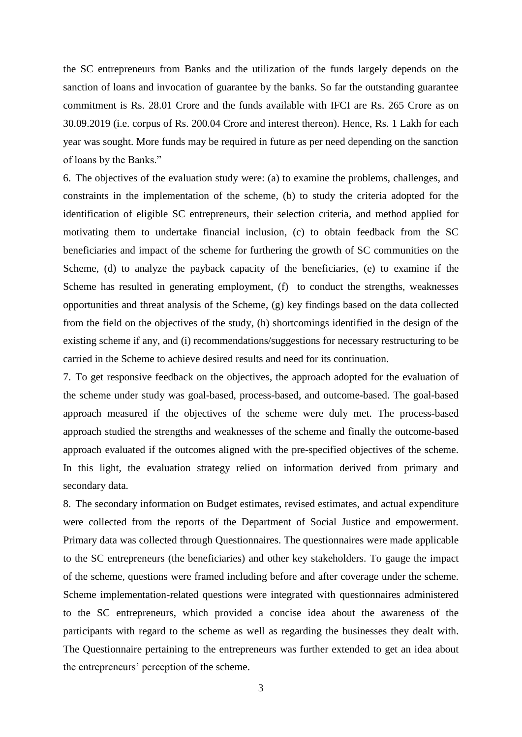the SC entrepreneurs from Banks and the utilization of the funds largely depends on the sanction of loans and invocation of guarantee by the banks. So far the outstanding guarantee commitment is Rs. 28.01 Crore and the funds available with IFCI are Rs. 265 Crore as on 30.09.2019 (i.e. corpus of Rs. 200.04 Crore and interest thereon). Hence, Rs. 1 Lakh for each year was sought. More funds may be required in future as per need depending on the sanction of loans by the Banks."

6. The objectives of the evaluation study were: (a) to examine the problems, challenges, and constraints in the implementation of the scheme, (b) to study the criteria adopted for the identification of eligible SC entrepreneurs, their selection criteria, and method applied for motivating them to undertake financial inclusion, (c) to obtain feedback from the SC beneficiaries and impact of the scheme for furthering the growth of SC communities on the Scheme, (d) to analyze the payback capacity of the beneficiaries, (e) to examine if the Scheme has resulted in generating employment, (f) to conduct the strengths, weaknesses opportunities and threat analysis of the Scheme, (g) key findings based on the data collected from the field on the objectives of the study, (h) shortcomings identified in the design of the existing scheme if any, and (i) recommendations/suggestions for necessary restructuring to be carried in the Scheme to achieve desired results and need for its continuation.

7. To get responsive feedback on the objectives, the approach adopted for the evaluation of the scheme under study was goal-based, process-based, and outcome-based. The goal-based approach measured if the objectives of the scheme were duly met. The process-based approach studied the strengths and weaknesses of the scheme and finally the outcome-based approach evaluated if the outcomes aligned with the pre-specified objectives of the scheme. In this light, the evaluation strategy relied on information derived from primary and secondary data.

8. The secondary information on Budget estimates, revised estimates, and actual expenditure were collected from the reports of the Department of Social Justice and empowerment. Primary data was collected through Questionnaires. The questionnaires were made applicable to the SC entrepreneurs (the beneficiaries) and other key stakeholders. To gauge the impact of the scheme, questions were framed including before and after coverage under the scheme. Scheme implementation-related questions were integrated with questionnaires administered to the SC entrepreneurs, which provided a concise idea about the awareness of the participants with regard to the scheme as well as regarding the businesses they dealt with. The Questionnaire pertaining to the entrepreneurs was further extended to get an idea about the entrepreneurs' perception of the scheme.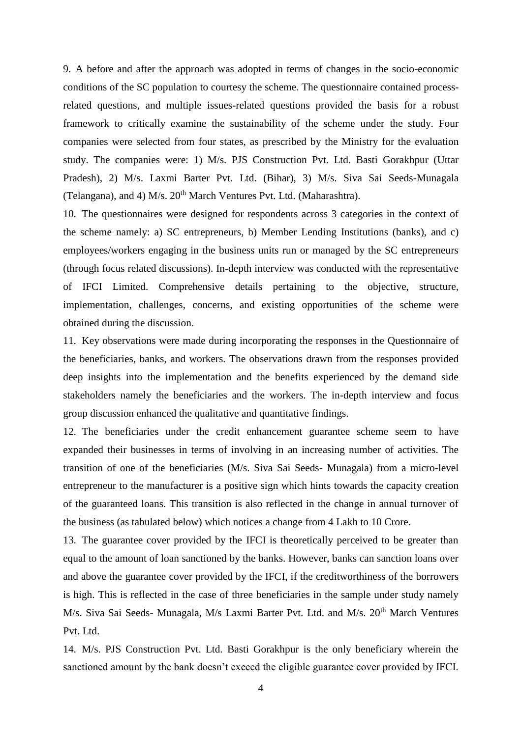9. A before and after the approach was adopted in terms of changes in the socio-economic conditions of the SC population to courtesy the scheme. The questionnaire contained processrelated questions, and multiple issues-related questions provided the basis for a robust framework to critically examine the sustainability of the scheme under the study. Four companies were selected from four states, as prescribed by the Ministry for the evaluation study. The companies were: 1) M/s. PJS Construction Pvt. Ltd. Basti Gorakhpur (Uttar Pradesh), 2) M/s. Laxmi Barter Pvt. Ltd. (Bihar), 3) M/s. Siva Sai Seeds-Munagala (Telangana), and 4) M/s.  $20<sup>th</sup>$  March Ventures Pvt. Ltd. (Maharashtra).

10. The questionnaires were designed for respondents across 3 categories in the context of the scheme namely: a) SC entrepreneurs, b) Member Lending Institutions (banks), and c) employees/workers engaging in the business units run or managed by the SC entrepreneurs (through focus related discussions). In-depth interview was conducted with the representative of IFCI Limited. Comprehensive details pertaining to the objective, structure, implementation, challenges, concerns, and existing opportunities of the scheme were obtained during the discussion.

11. Key observations were made during incorporating the responses in the Questionnaire of the beneficiaries, banks, and workers. The observations drawn from the responses provided deep insights into the implementation and the benefits experienced by the demand side stakeholders namely the beneficiaries and the workers. The in-depth interview and focus group discussion enhanced the qualitative and quantitative findings.

12. The beneficiaries under the credit enhancement guarantee scheme seem to have expanded their businesses in terms of involving in an increasing number of activities. The transition of one of the beneficiaries (M/s. Siva Sai Seeds- Munagala) from a micro-level entrepreneur to the manufacturer is a positive sign which hints towards the capacity creation of the guaranteed loans. This transition is also reflected in the change in annual turnover of the business (as tabulated below) which notices a change from 4 Lakh to 10 Crore.

13. The guarantee cover provided by the IFCI is theoretically perceived to be greater than equal to the amount of loan sanctioned by the banks. However, banks can sanction loans over and above the guarantee cover provided by the IFCI, if the creditworthiness of the borrowers is high. This is reflected in the case of three beneficiaries in the sample under study namely M/s. Siva Sai Seeds- Munagala, M/s Laxmi Barter Pvt. Ltd. and M/s. 20<sup>th</sup> March Ventures Pvt. Ltd.

14. M/s. PJS Construction Pvt. Ltd. Basti Gorakhpur is the only beneficiary wherein the sanctioned amount by the bank doesn't exceed the eligible guarantee cover provided by IFCI.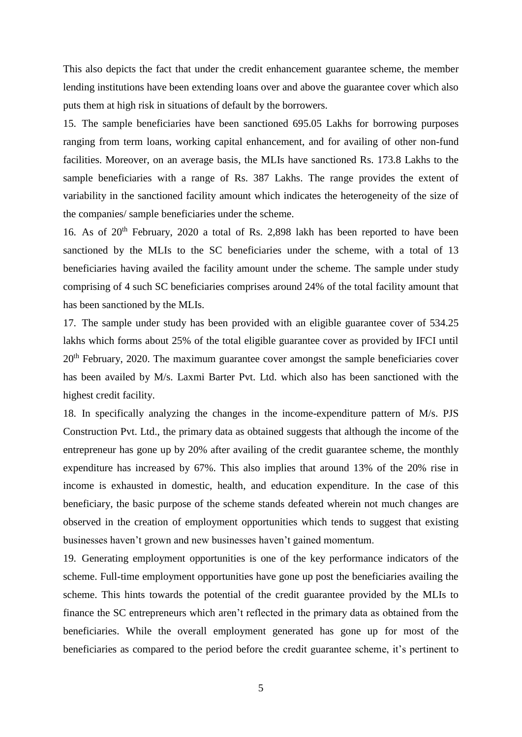This also depicts the fact that under the credit enhancement guarantee scheme, the member lending institutions have been extending loans over and above the guarantee cover which also puts them at high risk in situations of default by the borrowers.

15. The sample beneficiaries have been sanctioned 695.05 Lakhs for borrowing purposes ranging from term loans, working capital enhancement, and for availing of other non-fund facilities. Moreover, on an average basis, the MLIs have sanctioned Rs. 173.8 Lakhs to the sample beneficiaries with a range of Rs. 387 Lakhs. The range provides the extent of variability in the sanctioned facility amount which indicates the heterogeneity of the size of the companies/ sample beneficiaries under the scheme.

16. As of  $20<sup>th</sup>$  February, 2020 a total of Rs. 2,898 lakh has been reported to have been sanctioned by the MLIs to the SC beneficiaries under the scheme, with a total of 13 beneficiaries having availed the facility amount under the scheme. The sample under study comprising of 4 such SC beneficiaries comprises around 24% of the total facility amount that has been sanctioned by the MLIs.

17. The sample under study has been provided with an eligible guarantee cover of 534.25 lakhs which forms about 25% of the total eligible guarantee cover as provided by IFCI until 20<sup>th</sup> February, 2020. The maximum guarantee cover amongst the sample beneficiaries cover has been availed by M/s. Laxmi Barter Pvt. Ltd. which also has been sanctioned with the highest credit facility.

18. In specifically analyzing the changes in the income-expenditure pattern of M/s. PJS Construction Pvt. Ltd., the primary data as obtained suggests that although the income of the entrepreneur has gone up by 20% after availing of the credit guarantee scheme, the monthly expenditure has increased by 67%. This also implies that around 13% of the 20% rise in income is exhausted in domestic, health, and education expenditure. In the case of this beneficiary, the basic purpose of the scheme stands defeated wherein not much changes are observed in the creation of employment opportunities which tends to suggest that existing businesses haven't grown and new businesses haven't gained momentum.

19. Generating employment opportunities is one of the key performance indicators of the scheme. Full-time employment opportunities have gone up post the beneficiaries availing the scheme. This hints towards the potential of the credit guarantee provided by the MLIs to finance the SC entrepreneurs which aren't reflected in the primary data as obtained from the beneficiaries. While the overall employment generated has gone up for most of the beneficiaries as compared to the period before the credit guarantee scheme, it's pertinent to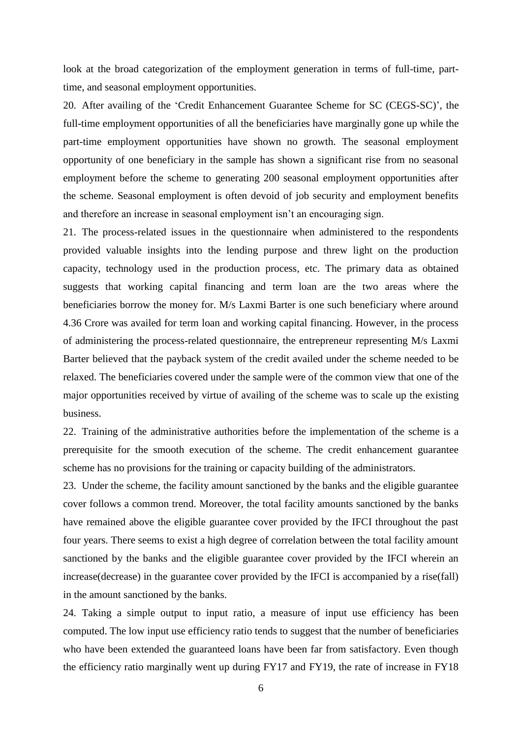look at the broad categorization of the employment generation in terms of full-time, parttime, and seasonal employment opportunities.

20. After availing of the 'Credit Enhancement Guarantee Scheme for SC (CEGS-SC)', the full-time employment opportunities of all the beneficiaries have marginally gone up while the part-time employment opportunities have shown no growth. The seasonal employment opportunity of one beneficiary in the sample has shown a significant rise from no seasonal employment before the scheme to generating 200 seasonal employment opportunities after the scheme. Seasonal employment is often devoid of job security and employment benefits and therefore an increase in seasonal employment isn't an encouraging sign.

21. The process-related issues in the questionnaire when administered to the respondents provided valuable insights into the lending purpose and threw light on the production capacity, technology used in the production process, etc. The primary data as obtained suggests that working capital financing and term loan are the two areas where the beneficiaries borrow the money for. M/s Laxmi Barter is one such beneficiary where around 4.36 Crore was availed for term loan and working capital financing. However, in the process of administering the process-related questionnaire, the entrepreneur representing M/s Laxmi Barter believed that the payback system of the credit availed under the scheme needed to be relaxed. The beneficiaries covered under the sample were of the common view that one of the major opportunities received by virtue of availing of the scheme was to scale up the existing business.

22. Training of the administrative authorities before the implementation of the scheme is a prerequisite for the smooth execution of the scheme. The credit enhancement guarantee scheme has no provisions for the training or capacity building of the administrators.

23. Under the scheme, the facility amount sanctioned by the banks and the eligible guarantee cover follows a common trend. Moreover, the total facility amounts sanctioned by the banks have remained above the eligible guarantee cover provided by the IFCI throughout the past four years. There seems to exist a high degree of correlation between the total facility amount sanctioned by the banks and the eligible guarantee cover provided by the IFCI wherein an increase(decrease) in the guarantee cover provided by the IFCI is accompanied by a rise(fall) in the amount sanctioned by the banks.

24. Taking a simple output to input ratio, a measure of input use efficiency has been computed. The low input use efficiency ratio tends to suggest that the number of beneficiaries who have been extended the guaranteed loans have been far from satisfactory. Even though the efficiency ratio marginally went up during FY17 and FY19, the rate of increase in FY18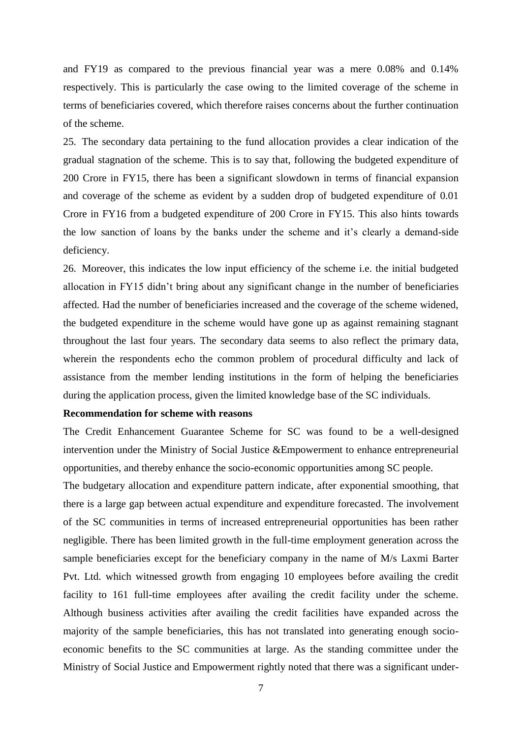and FY19 as compared to the previous financial year was a mere 0.08% and 0.14% respectively. This is particularly the case owing to the limited coverage of the scheme in terms of beneficiaries covered, which therefore raises concerns about the further continuation of the scheme.

25. The secondary data pertaining to the fund allocation provides a clear indication of the gradual stagnation of the scheme. This is to say that, following the budgeted expenditure of 200 Crore in FY15, there has been a significant slowdown in terms of financial expansion and coverage of the scheme as evident by a sudden drop of budgeted expenditure of 0.01 Crore in FY16 from a budgeted expenditure of 200 Crore in FY15. This also hints towards the low sanction of loans by the banks under the scheme and it's clearly a demand-side deficiency.

26. Moreover, this indicates the low input efficiency of the scheme i.e. the initial budgeted allocation in FY15 didn't bring about any significant change in the number of beneficiaries affected. Had the number of beneficiaries increased and the coverage of the scheme widened, the budgeted expenditure in the scheme would have gone up as against remaining stagnant throughout the last four years. The secondary data seems to also reflect the primary data, wherein the respondents echo the common problem of procedural difficulty and lack of assistance from the member lending institutions in the form of helping the beneficiaries during the application process, given the limited knowledge base of the SC individuals.

## **Recommendation for scheme with reasons**

The Credit Enhancement Guarantee Scheme for SC was found to be a well-designed intervention under the Ministry of Social Justice &Empowerment to enhance entrepreneurial opportunities, and thereby enhance the socio-economic opportunities among SC people.

The budgetary allocation and expenditure pattern indicate, after exponential smoothing, that there is a large gap between actual expenditure and expenditure forecasted. The involvement of the SC communities in terms of increased entrepreneurial opportunities has been rather negligible. There has been limited growth in the full-time employment generation across the sample beneficiaries except for the beneficiary company in the name of M/s Laxmi Barter Pvt. Ltd. which witnessed growth from engaging 10 employees before availing the credit facility to 161 full-time employees after availing the credit facility under the scheme. Although business activities after availing the credit facilities have expanded across the majority of the sample beneficiaries, this has not translated into generating enough socioeconomic benefits to the SC communities at large. As the standing committee under the Ministry of Social Justice and Empowerment rightly noted that there was a significant under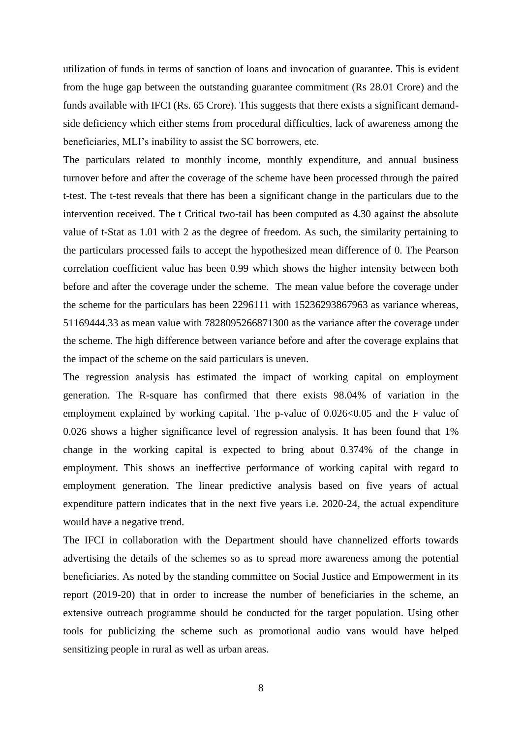utilization of funds in terms of sanction of loans and invocation of guarantee. This is evident from the huge gap between the outstanding guarantee commitment (Rs 28.01 Crore) and the funds available with IFCI (Rs. 65 Crore). This suggests that there exists a significant demandside deficiency which either stems from procedural difficulties, lack of awareness among the beneficiaries, MLI's inability to assist the SC borrowers, etc.

The particulars related to monthly income, monthly expenditure, and annual business turnover before and after the coverage of the scheme have been processed through the paired t-test. The t-test reveals that there has been a significant change in the particulars due to the intervention received. The t Critical two-tail has been computed as 4.30 against the absolute value of t-Stat as 1.01 with 2 as the degree of freedom. As such, the similarity pertaining to the particulars processed fails to accept the hypothesized mean difference of 0. The Pearson correlation coefficient value has been 0.99 which shows the higher intensity between both before and after the coverage under the scheme. The mean value before the coverage under the scheme for the particulars has been 2296111 with 15236293867963 as variance whereas, 51169444.33 as mean value with 7828095266871300 as the variance after the coverage under the scheme. The high difference between variance before and after the coverage explains that the impact of the scheme on the said particulars is uneven.

The regression analysis has estimated the impact of working capital on employment generation. The R-square has confirmed that there exists 98.04% of variation in the employment explained by working capital. The p-value of  $0.026<0.05$  and the F value of 0.026 shows a higher significance level of regression analysis. It has been found that 1% change in the working capital is expected to bring about 0.374% of the change in employment. This shows an ineffective performance of working capital with regard to employment generation. The linear predictive analysis based on five years of actual expenditure pattern indicates that in the next five years i.e. 2020-24, the actual expenditure would have a negative trend.

The IFCI in collaboration with the Department should have channelized efforts towards advertising the details of the schemes so as to spread more awareness among the potential beneficiaries. As noted by the standing committee on Social Justice and Empowerment in its report (2019-20) that in order to increase the number of beneficiaries in the scheme, an extensive outreach programme should be conducted for the target population. Using other tools for publicizing the scheme such as promotional audio vans would have helped sensitizing people in rural as well as urban areas.